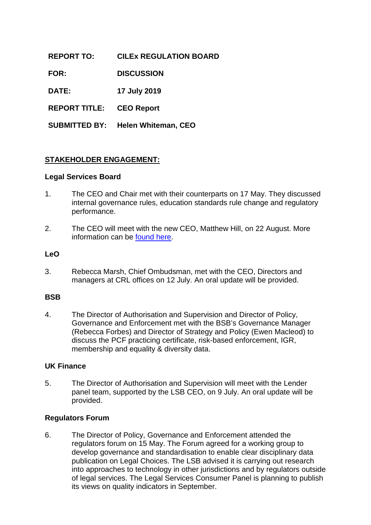| <b>REPORT TO:</b>               | <b>CILEX REGULATION BOARD</b> |
|---------------------------------|-------------------------------|
| <b>FOR:</b>                     | <b>DISCUSSION</b>             |
| <b>DATE:</b>                    | 17 July 2019                  |
| <b>REPORT TITLE: CEO Report</b> |                               |

**SUBMITTED BY: Helen Whiteman, CEO**

## **STAKEHOLDER ENGAGEMENT:**

#### **Legal Services Board**

- 1. The CEO and Chair met with their counterparts on 17 May. They discussed internal governance rules, education standards rule change and regulatory performance.
- 2. The CEO will meet with the new CEO, Matthew Hill, on 22 August. More information can be [found here.](https://www.legalservicesboard.org.uk/news/lsb-announces-new-chief-executive)

#### **LeO**

3. Rebecca Marsh, Chief Ombudsman, met with the CEO, Directors and managers at CRL offices on 12 July. An oral update will be provided.

### **BSB**

4. The Director of Authorisation and Supervision and Director of Policy, Governance and Enforcement met with the BSB's Governance Manager (Rebecca Forbes) and Director of Strategy and Policy (Ewen Macleod) to discuss the PCF practicing certificate, risk-based enforcement, IGR, membership and equality & diversity data.

### **UK Finance**

5. The Director of Authorisation and Supervision will meet with the Lender panel team, supported by the LSB CEO, on 9 July. An oral update will be provided.

### **Regulators Forum**

6. The Director of Policy, Governance and Enforcement attended the regulators forum on 15 May. The Forum agreed for a working group to develop governance and standardisation to enable clear disciplinary data publication on Legal Choices. The LSB advised it is carrying out research into approaches to technology in other jurisdictions and by regulators outside of legal services. The Legal Services Consumer Panel is planning to publish its views on quality indicators in September.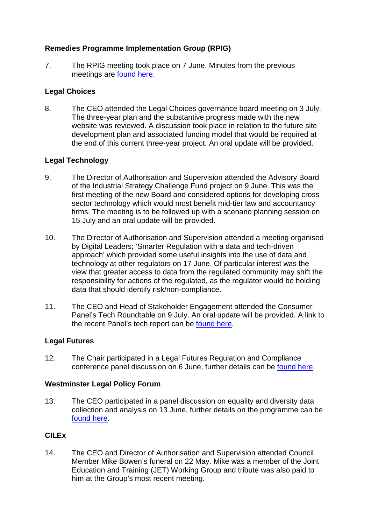# **Remedies Programme Implementation Group (RPIG)**

7. The RPIG meeting took place on 7 June. Minutes from the previous meetings are [found here.](https://www.gov.uk/government/publications/legal-services-remedies-programme-implementation-group-minutes-2018)

### **Legal Choices**

8. The CEO attended the Legal Choices governance board meeting on 3 July. The three-year plan and the substantive progress made with the new website was reviewed. A discussion took place in relation to the future site development plan and associated funding model that would be required at the end of this current three-year project. An oral update will be provided.

## **Legal Technology**

- 9. The Director of Authorisation and Supervision attended the Advisory Board of the Industrial Strategy Challenge Fund project on 9 June. This was the first meeting of the new Board and considered options for developing cross sector technology which would most benefit mid-tier law and accountancy firms. The meeting is to be followed up with a scenario planning session on 15 July and an oral update will be provided.
- 10. The Director of Authorisation and Supervision attended a meeting organised by Digital Leaders; 'Smarter Regulation with a data and tech-driven approach' which provided some useful insights into the use of data and technology at other regulators on 17 June. Of particular interest was the view that greater access to data from the regulated community may shift the responsibility for actions of the regulated, as the regulator would be holding data that should identify risk/non-compliance.
- 11. The CEO and Head of Stakeholder Engagement attended the Consumer Panel's Tech Roundtable on 9 July. An oral update will be provided. A link to the recent Panel's tech report can be [found here.](https://www.legalservicesconsumerpanel.org.uk/wp-content/uploads/2019/06/LSCP-Technology-Paper-2019.pdf)

### **Legal Futures**

12. The Chair participated in a Legal Futures Regulation and Compliance conference panel discussion on 6 June, further details can be [found here.](https://www.legalfutures.co.uk/conferenceevents/regulation-and-compliance-conference-2019)

### **Westminster Legal Policy Forum**

13. The CEO participated in a panel discussion on equality and diversity data collection and analysis on 13 June, further details on the programme can be [found here.](https://www.westminsterforumprojects.co.uk/agenda/improving-diversity-and-inclusion-in-the-legal-sector-19-agenda.pdf)

### **CILEx**

14. The CEO and Director of Authorisation and Supervision attended Council Member Mike Bowen's funeral on 22 May. Mike was a member of the Joint Education and Training (JET) Working Group and tribute was also paid to him at the Group's most recent meeting.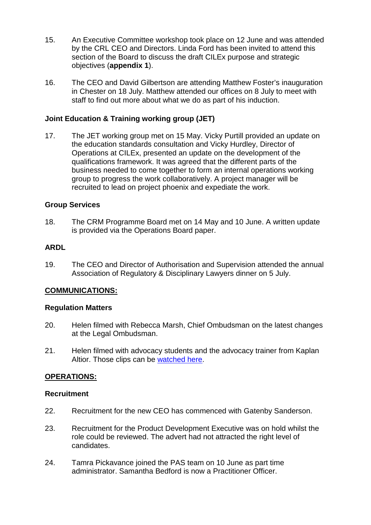- 15. An Executive Committee workshop took place on 12 June and was attended by the CRL CEO and Directors. Linda Ford has been invited to attend this section of the Board to discuss the draft CILEx purpose and strategic objectives (**appendix 1**).
- 16. The CEO and David Gilbertson are attending Matthew Foster's inauguration in Chester on 18 July. Matthew attended our offices on 8 July to meet with staff to find out more about what we do as part of his induction.

### **Joint Education & Training working group (JET)**

17. The JET working group met on 15 May. Vicky Purtill provided an update on the education standards consultation and Vicky Hurdley, Director of Operations at CILEx, presented an update on the development of the qualifications framework. It was agreed that the different parts of the business needed to come together to form an internal operations working group to progress the work collaboratively. A project manager will be recruited to lead on project phoenix and expediate the work.

### **Group Services**

18. The CRM Programme Board met on 14 May and 10 June. A written update is provided via the Operations Board paper.

## **ARDL**

19. The CEO and Director of Authorisation and Supervision attended the annual Association of Regulatory & Disciplinary Lawyers dinner on 5 July.

### **COMMUNICATIONS:**

### **Regulation Matters**

- 20. Helen filmed with Rebecca Marsh, Chief Ombudsman on the latest changes at the Legal Ombudsman.
- 21. Helen filmed with advocacy students and the advocacy trainer from Kaplan Altior. Those clips can be [watched here.](https://www.regulationmatters.uk/case-studies/becoming-a-chartered-legal-executive-advocate-2/)

### **OPERATIONS:**

### **Recruitment**

- 22. Recruitment for the new CEO has commenced with Gatenby Sanderson.
- 23. Recruitment for the Product Development Executive was on hold whilst the role could be reviewed. The advert had not attracted the right level of candidates.
- 24. Tamra Pickavance joined the PAS team on 10 June as part time administrator. Samantha Bedford is now a Practitioner Officer.